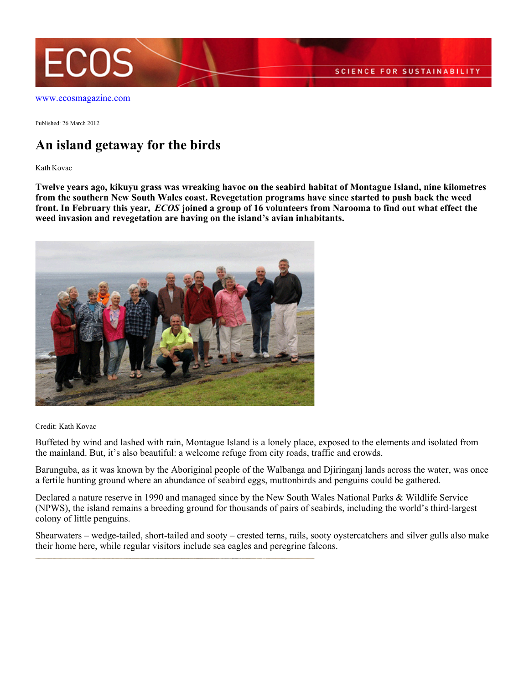

[www.ecosmagazine.com](http://www.ecosmagazine.com)

Published: 26 March 2012

## **An island getaway for the birds**

Kath Kovac

**Twelve years ago, kikuyu grass was wreaking havoc on the seabird habitat of Montague Island, nine kilometres from the southern New South Wales coast. Revegetation programs have since started to push back the weed front. In February this year,** *ECOS* **joined a group of 16 volunteers from Narooma to find out what effect the weed invasion and revegetation are having on the island's avian inhabitants.**



Credit: Kath Kovac

Buffeted by wind and lashed with rain, Montague Island is a lonely place, exposed to the elements and isolated from the mainland. But, it's also beautiful: a welcome refuge from city roads, traffic and crowds.

Barunguba, as it was known by the Aboriginal people of the Walbanga and Djiringanj lands across the water, was once a fertile hunting ground where an abundance of seabird eggs, muttonbirds and penguins could be gathered.

Declared a nature reserve in 1990 and managed since by the New South Wales National Parks & Wildlife Service (NPWS), the island remains a breeding ground for thousands of pairs of seabirds, including the world's third-largest colony of little penguins.

Shearwaters – wedge-tailed, short-tailed and sooty – crested terns, rails, sooty oystercatchers and silver gulls also make their home here, while regular visitors include sea eagles and peregrine falcons.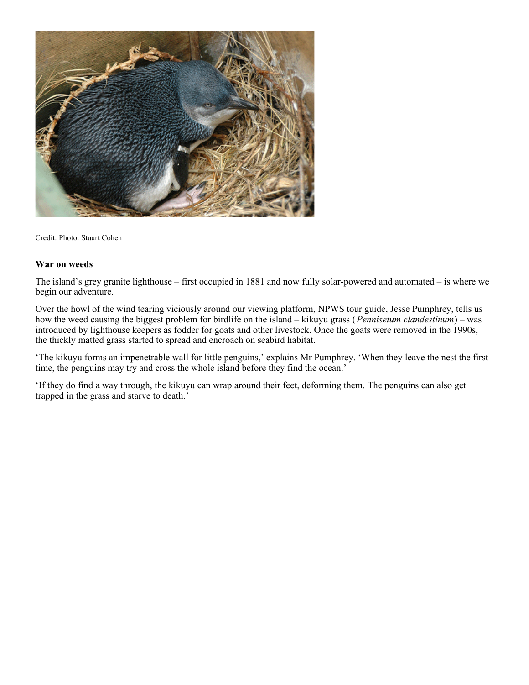

Credit: Photo: Stuart Cohen

## **War on weeds**

The island's grey granite lighthouse – first occupied in 1881 and now fully solar-powered and automated – is where we begin our adventure.

Over the howl of the wind tearing viciously around our viewing platform, NPWS tour guide, Jesse Pumphrey, tells us how the weed causing the biggest problem for birdlife on the island – kikuyu grass (*Pennisetum clandestinum*) – was introduced by lighthouse keepers as fodder for goats and other livestock. Once the goats were removed in the 1990s, the thickly matted grass started to spread and encroach on seabird habitat.

'The kikuyu forms an impenetrable wall for little penguins,' explains Mr Pumphrey. 'When they leave the nest the first time, the penguins may try and cross the whole island before they find the ocean.'

'If they do find a way through, the kikuyu can wrap around their feet, deforming them. The penguins can also get trapped in the grass and starve to death.'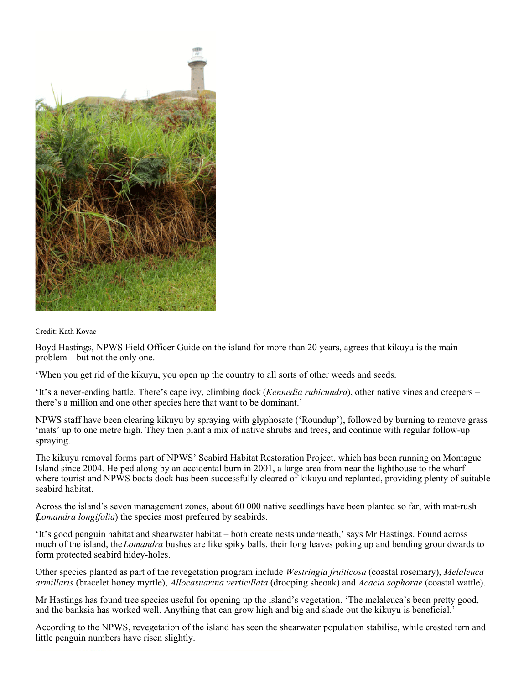

Credit: Kath Kovac

Boyd Hastings, NPWS Field Officer Guide on the island for more than 20 years, agrees that kikuyu is the main problem – but not the only one.

'When you get rid of the kikuyu, you open up the country to all sorts of other weeds and seeds.

'It's a never-ending battle. There's cape ivy, climbing dock (*Kennedia rubicundra*), other native vines and creepers – there's a million and one other species here that want to be dominant.'

NPWS staff have been clearing kikuyu by spraying with glyphosate ('Roundup'), followed by burning to remove grass 'mats' up to one metre high. They then plant a mix of native shrubs and trees, and continue with regular follow-up spraying.

The kikuyu removal forms part of NPWS' Seabird Habitat Restoration Project, which has been running on Montague Island since 2004. Helped along by an accidental burn in 2001, a large area from near the lighthouse to the wharf where tourist and NPWS boats dock has been successfully cleared of kikuyu and replanted, providing plenty of suitable seabird habitat.

Across the island's seven management zones, about 60 000 native seedlings have been planted so far, with mat-rush (*Lomandra longifolia*) the species most preferred by seabirds.

'It's good penguin habitat and shearwater habitat – both create nests underneath,' says Mr Hastings. Found across much of the island, the *Lomandra* bushes are like spiky balls, their long leaves poking up and bending groundwards to form protected seabird hidey-holes.

Other species planted as part of the revegetation program include *Westringia fruiticosa* (coastal rosemary), *Melaleuca armillaris* (bracelet honey myrtle), *Allocasuarina verticillata* (drooping sheoak) and *Acacia sophorae* (coastal wattle).

Mr Hastings has found tree species useful for opening up the island's vegetation. 'The melaleuca's been pretty good, and the banksia has worked well. Anything that can grow high and big and shade out the kikuyu is beneficial.'

According to the NPWS, revegetation of the island has seen the shearwater population stabilise, while crested tern and little penguin numbers have risen slightly.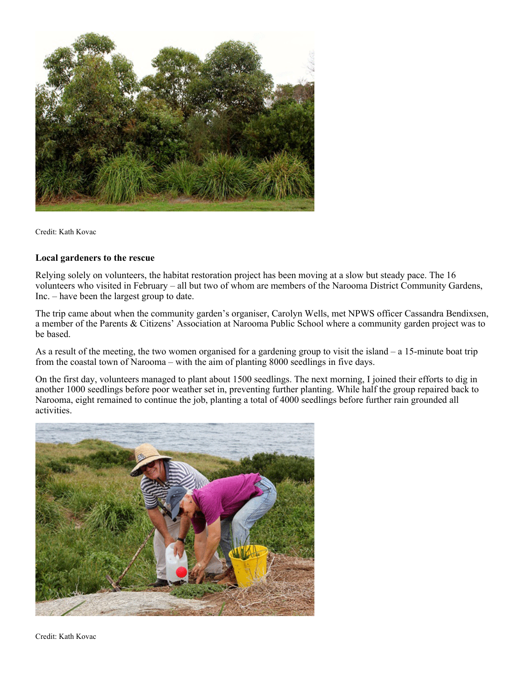

Credit: Kath Kovac

## **Local gardeners to the rescue**

Relying solely on volunteers, the habitat restoration project has been moving at a slow but steady pace. The 16 volunteers who visited in February – all but two of whom are members of the Narooma District Community Gardens, Inc. – have been the largest group to date.

The trip came about when the community garden's organiser, Carolyn Wells, met NPWS officer Cassandra Bendixsen, a member of the Parents & Citizens' Association at Narooma Public School where a community garden project was to be based.

As a result of the meeting, the two women organised for a gardening group to visit the island – a 15-minute boat trip from the coastal town of Narooma – with the aim of planting 8000 seedlings in five days.

On the first day, volunteers managed to plant about 1500 seedlings. The next morning, I joined their efforts to dig in another 1000 seedlings before poor weather set in, preventing further planting. While half the group repaired back to Narooma, eight remained to continue the job, planting a total of 4000 seedlings before further rain grounded all activities.



Credit: Kath Kovac